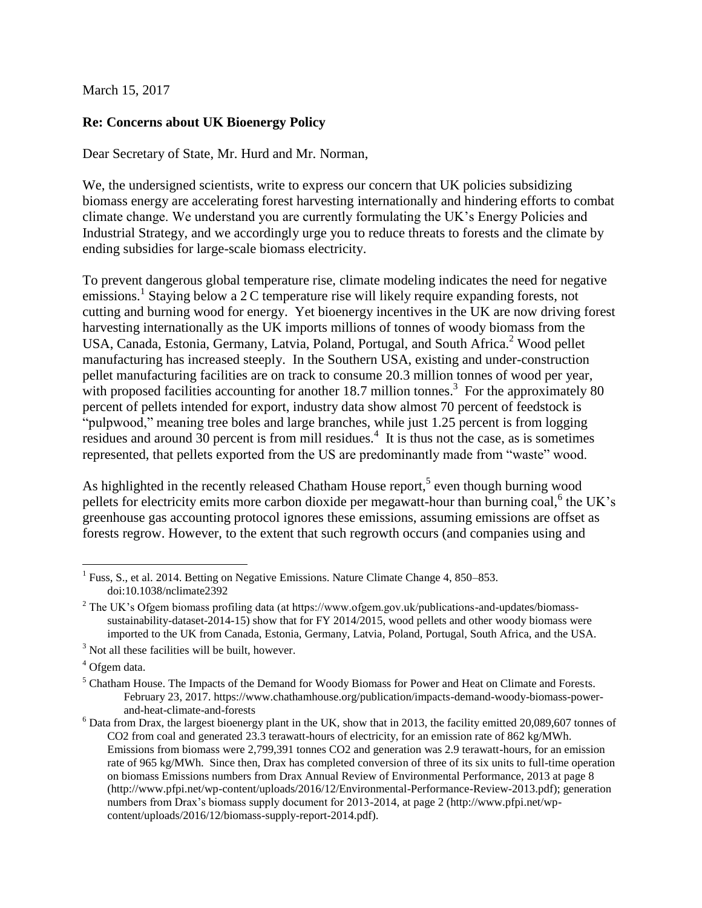March 15, 2017

## **Re: Concerns about UK Bioenergy Policy**

Dear Secretary of State, Mr. Hurd and Mr. Norman,

We, the undersigned scientists, write to express our concern that UK policies subsidizing biomass energy are accelerating forest harvesting internationally and hindering efforts to combat climate change. We understand you are currently formulating the UK's Energy Policies and Industrial Strategy, and we accordingly urge you to reduce threats to forests and the climate by ending subsidies for large-scale biomass electricity.

To prevent dangerous global temperature rise, climate modeling indicates the need for negative emissions.<sup>1</sup> Staying below a 2 C temperature rise will likely require expanding forests, not cutting and burning wood for energy. Yet bioenergy incentives in the UK are now driving forest harvesting internationally as the UK imports millions of tonnes of woody biomass from the USA, Canada, Estonia, Germany, Latvia, Poland, Portugal, and South Africa. <sup>2</sup> Wood pellet manufacturing has increased steeply. In the Southern USA, existing and under-construction pellet manufacturing facilities are on track to consume 20.3 million tonnes of wood per year, with proposed facilities accounting for another 18.7 million tonnes.<sup>3</sup> For the approximately 80 percent of pellets intended for export, industry data show almost 70 percent of feedstock is "pulpwood," meaning tree boles and large branches, while just 1.25 percent is from logging residues and around  $30$  percent is from mill residues.<sup>4</sup> It is thus not the case, as is sometimes represented, that pellets exported from the US are predominantly made from "waste" wood.

As highlighted in the recently released Chatham House report,<sup>5</sup> even though burning wood pellets for electricity emits more carbon dioxide per megawatt-hour than burning coal,<sup>6</sup> the UK's greenhouse gas accounting protocol ignores these emissions, assuming emissions are offset as forests regrow. However, to the extent that such regrowth occurs (and companies using and

 $\overline{a}$ 

<sup>&</sup>lt;sup>1</sup> Fuss, S., et al. 2014. Betting on Negative Emissions. Nature Climate Change 4, 850–853. doi:10.1038/nclimate2392

<sup>&</sup>lt;sup>2</sup> The UK's Ofgem biomass profiling data (at https://www.ofgem.gov.uk/publications-and-updates/biomasssustainability-dataset-2014-15) show that for FY 2014/2015, wood pellets and other woody biomass were imported to the UK from Canada, Estonia, Germany, Latvia, Poland, Portugal, South Africa, and the USA.

<sup>&</sup>lt;sup>3</sup> Not all these facilities will be built, however.

<sup>4</sup> Ofgem data.

<sup>5</sup> Chatham House. The Impacts of the Demand for Woody Biomass for Power and Heat on Climate and Forests. February 23, 2017. https://www.chathamhouse.org/publication/impacts-demand-woody-biomass-powerand-heat-climate-and-forests

 $6$  Data from Drax, the largest bioenergy plant in the UK, show that in 2013, the facility emitted 20,089,607 tonnes of CO2 from coal and generated 23.3 terawatt-hours of electricity, for an emission rate of 862 kg/MWh. Emissions from biomass were 2,799,391 tonnes CO2 and generation was 2.9 terawatt-hours, for an emission rate of 965 kg/MWh. Since then, Drax has completed conversion of three of its six units to full-time operation on biomass Emissions numbers from Drax Annual Review of Environmental Performance, 2013 at page 8 (http://www.pfpi.net/wp-content/uploads/2016/12/Environmental-Performance-Review-2013.pdf); generation numbers from Drax's biomass supply document for 2013-2014, at page 2 (http://www.pfpi.net/wpcontent/uploads/2016/12/biomass-supply-report-2014.pdf).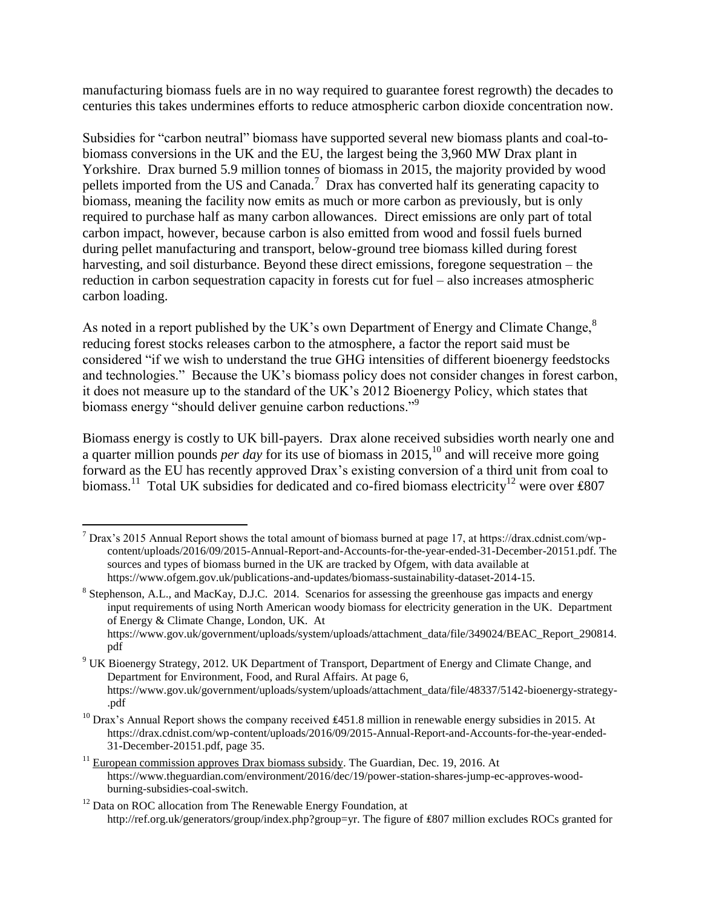manufacturing biomass fuels are in no way required to guarantee forest regrowth) the decades to centuries this takes undermines efforts to reduce atmospheric carbon dioxide concentration now.

Subsidies for "carbon neutral" biomass have supported several new biomass plants and coal-tobiomass conversions in the UK and the EU, the largest being the 3,960 MW Drax plant in Yorkshire. Drax burned 5.9 million tonnes of biomass in 2015, the majority provided by wood pellets imported from the US and Canada.<sup>7</sup> Drax has converted half its generating capacity to biomass, meaning the facility now emits as much or more carbon as previously, but is only required to purchase half as many carbon allowances. Direct emissions are only part of total carbon impact, however, because carbon is also emitted from wood and fossil fuels burned during pellet manufacturing and transport, below-ground tree biomass killed during forest harvesting, and soil disturbance. Beyond these direct emissions, foregone sequestration – the reduction in carbon sequestration capacity in forests cut for fuel – also increases atmospheric carbon loading.

As noted in a report published by the UK's own Department of Energy and Climate Change,<sup>8</sup> reducing forest stocks releases carbon to the atmosphere, a factor the report said must be considered "if we wish to understand the true GHG intensities of different bioenergy feedstocks and technologies." Because the UK's biomass policy does not consider changes in forest carbon, it does not measure up to the standard of the UK's 2012 Bioenergy Policy, which states that biomass energy "should deliver genuine carbon reductions."<sup>9</sup>

Biomass energy is costly to UK bill-payers. Drax alone received subsidies worth nearly one and a quarter million pounds *per day* for its use of biomass in 2015,<sup>10</sup> and will receive more going forward as the EU has recently approved Drax's existing conversion of a third unit from coal to biomass.<sup>11</sup> Total UK subsidies for dedicated and co-fired biomass electricity<sup>12</sup> were over £807

 $\overline{a}$  $^7$  Drax's 2015 Annual Report shows the total amount of biomass burned at page 17, at https://drax.cdnist.com/wpcontent/uploads/2016/09/2015-Annual-Report-and-Accounts-for-the-year-ended-31-December-20151.pdf. The sources and types of biomass burned in the UK are tracked by Ofgem, with data available at https://www.ofgem.gov.uk/publications-and-updates/biomass-sustainability-dataset-2014-15.

<sup>&</sup>lt;sup>8</sup> Stephenson, A.L., and MacKay, D.J.C. 2014. Scenarios for assessing the greenhouse gas impacts and energy input requirements of using North American woody biomass for electricity generation in the UK. Department of Energy & Climate Change, London, UK. At https://www.gov.uk/government/uploads/system/uploads/attachment\_data/file/349024/BEAC\_Report\_290814. pdf

<sup>9</sup> UK Bioenergy Strategy, 2012. UK Department of Transport, Department of Energy and Climate Change, and Department for Environment, Food, and Rural Affairs. At page 6, https://www.gov.uk/government/uploads/system/uploads/attachment\_data/file/48337/5142-bioenergy-strategy- .pdf

<sup>&</sup>lt;sup>10</sup> Drax's Annual Report shows the company received  $\text{\pounds}451.8$  million in renewable energy subsidies in 2015. At https://drax.cdnist.com/wp-content/uploads/2016/09/2015-Annual-Report-and-Accounts-for-the-year-ended-31-December-20151.pdf, page 35.

 $11$  European commission approves Drax biomass subsidy. The Guardian, Dec. 19, 2016. At https://www.theguardian.com/environment/2016/dec/19/power-station-shares-jump-ec-approves-woodburning-subsidies-coal-switch.

 $12$  Data on ROC allocation from The Renewable Energy Foundation, at http://ref.org.uk/generators/group/index.php?group=yr. The figure of £807 million excludes ROCs granted for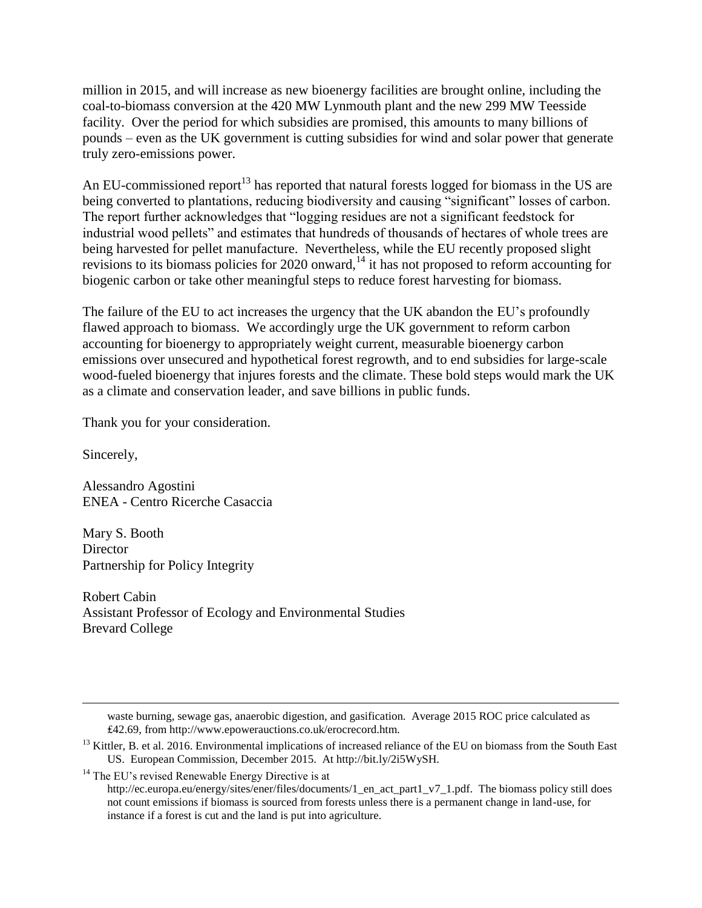million in 2015, and will increase as new bioenergy facilities are brought online, including the coal-to-biomass conversion at the 420 MW Lynmouth plant and the new 299 MW Teesside facility. Over the period for which subsidies are promised, this amounts to many billions of pounds – even as the UK government is cutting subsidies for wind and solar power that generate truly zero-emissions power.

An EU-commissioned report<sup>13</sup> has reported that natural forests logged for biomass in the US are being converted to plantations, reducing biodiversity and causing "significant" losses of carbon. The report further acknowledges that "logging residues are not a significant feedstock for industrial wood pellets" and estimates that hundreds of thousands of hectares of whole trees are being harvested for pellet manufacture. Nevertheless, while the EU recently proposed slight revisions to its biomass policies for 2020 onward,<sup>14</sup> it has not proposed to reform accounting for biogenic carbon or take other meaningful steps to reduce forest harvesting for biomass.

The failure of the EU to act increases the urgency that the UK abandon the EU's profoundly flawed approach to biomass. We accordingly urge the UK government to reform carbon accounting for bioenergy to appropriately weight current, measurable bioenergy carbon emissions over unsecured and hypothetical forest regrowth, and to end subsidies for large-scale wood-fueled bioenergy that injures forests and the climate. These bold steps would mark the UK as a climate and conservation leader, and save billions in public funds.

Thank you for your consideration.

Sincerely,

 $\overline{a}$ 

Alessandro Agostini ENEA - Centro Ricerche Casaccia

Mary S. Booth Director Partnership for Policy Integrity

Robert Cabin Assistant Professor of Ecology and Environmental Studies Brevard College

waste burning, sewage gas, anaerobic digestion, and gasification. Average 2015 ROC price calculated as ₤42.69, from http://www.epowerauctions.co.uk/erocrecord.htm.

 $13$  Kittler, B. et al. 2016. Environmental implications of increased reliance of the EU on biomass from the South East US. European Commission, December 2015. At http://bit.ly/2i5WySH.

 $14$  The EU's revised Renewable Energy Directive is at

http://ec.europa.eu/energy/sites/ener/files/documents/1\_en\_act\_part1\_v7\_1.pdf. The biomass policy still does not count emissions if biomass is sourced from forests unless there is a permanent change in land-use, for instance if a forest is cut and the land is put into agriculture.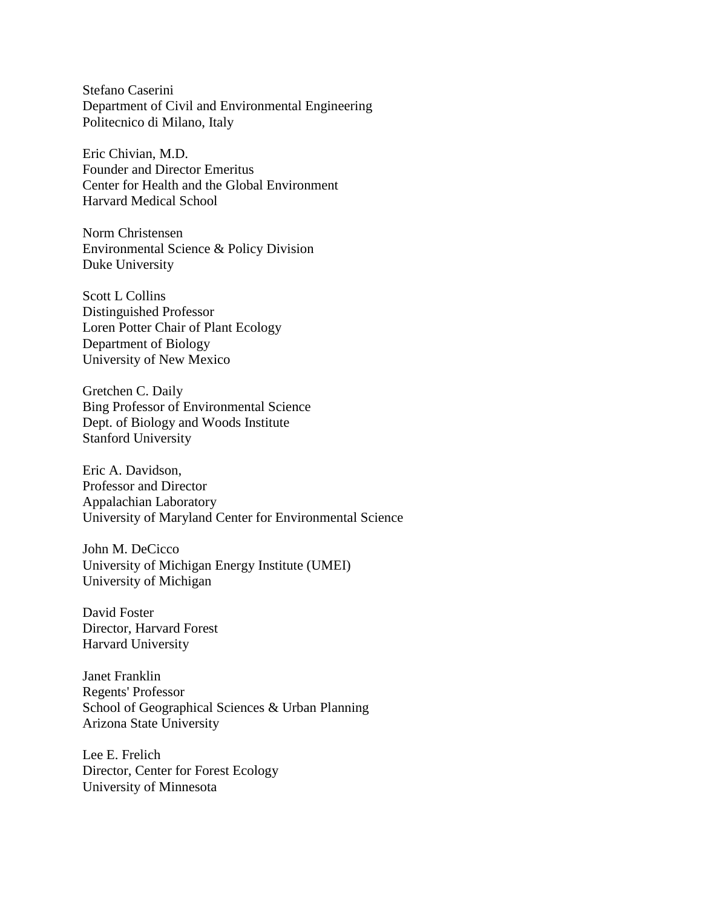Stefano Caserini Department of Civil and Environmental Engineering Politecnico di Milano, Italy

Eric Chivian, M.D. Founder and Director Emeritus Center for Health and the Global Environment Harvard Medical School

Norm Christensen Environmental Science & Policy Division Duke University

Scott L Collins Distinguished Professor Loren Potter Chair of Plant Ecology Department of Biology University of New Mexico

Gretchen C. Daily Bing Professor of Environmental Science Dept. of Biology and Woods Institute Stanford University

Eric A. Davidson, Professor and Director Appalachian Laboratory University of Maryland Center for Environmental Science

John M. DeCicco University of Michigan Energy Institute (UMEI) University of Michigan

David Foster Director, Harvard Forest Harvard University

Janet Franklin Regents' Professor School of Geographical Sciences & Urban Planning Arizona State University

Lee E. Frelich Director, Center for Forest Ecology University of Minnesota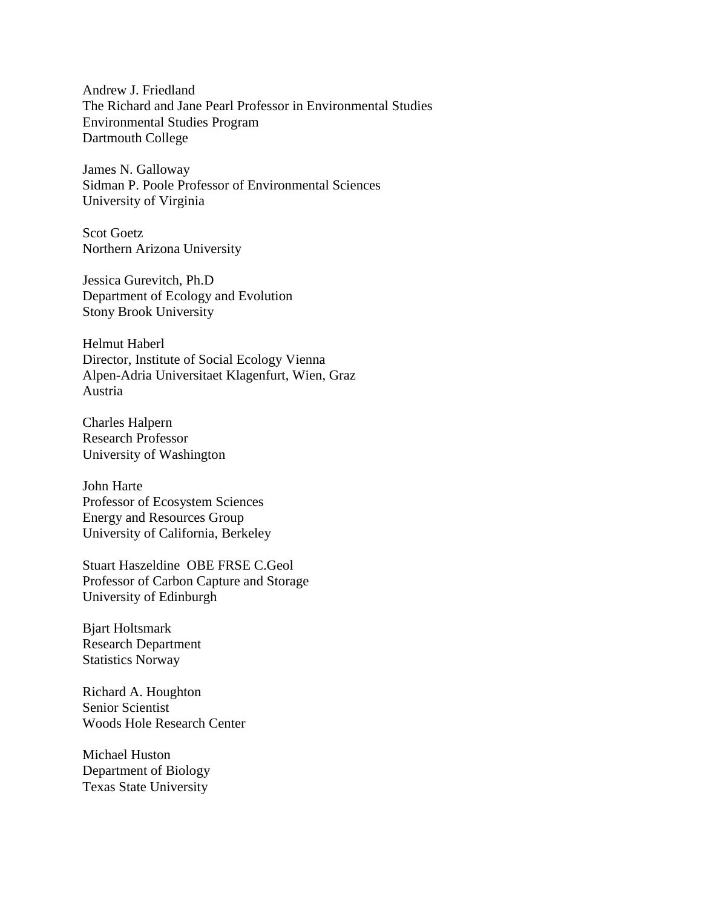Andrew J. Friedland The Richard and Jane Pearl Professor in Environmental Studies Environmental Studies Program Dartmouth College

James N. Galloway Sidman P. Poole Professor of Environmental Sciences University of Virginia

Scot Goetz Northern Arizona University

Jessica Gurevitch, Ph.D Department of Ecology and Evolution Stony Brook University

Helmut Haberl Director, Institute of Social Ecology Vienna Alpen-Adria Universitaet Klagenfurt, Wien, Graz Austria

Charles Halpern Research Professor University of Washington

John Harte Professor of Ecosystem Sciences Energy and Resources Group University of California, Berkeley

Stuart Haszeldine OBE FRSE C.Geol Professor of Carbon Capture and Storage University of Edinburgh

Bjart Holtsmark Research Department Statistics Norway

Richard A. Houghton Senior Scientist Woods Hole Research Center

Michael Huston Department of Biology Texas State University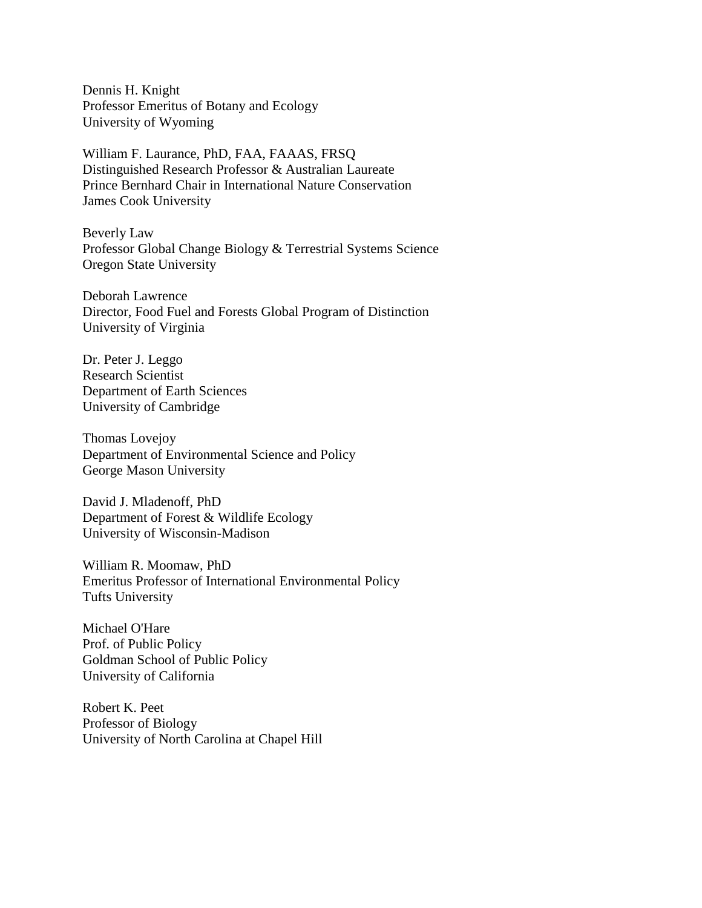Dennis H. Knight Professor Emeritus of Botany and Ecology University of Wyoming

William F. Laurance, PhD, FAA, FAAAS, FRSQ Distinguished Research Professor & Australian Laureate Prince Bernhard Chair in International Nature Conservation James Cook University

Beverly Law Professor Global Change Biology & Terrestrial Systems Science Oregon State University

Deborah Lawrence Director, Food Fuel and Forests Global Program of Distinction University of Virginia

Dr. Peter J. Leggo Research Scientist Department of Earth Sciences University of Cambridge

Thomas Lovejoy Department of Environmental Science and Policy George Mason University

David J. Mladenoff, PhD Department of Forest & Wildlife Ecology University of Wisconsin-Madison

William R. Moomaw, PhD Emeritus Professor of International Environmental Policy Tufts University

Michael O'Hare Prof. of Public Policy Goldman School of Public Policy University of California

Robert K. Peet Professor of Biology University of North Carolina at Chapel Hill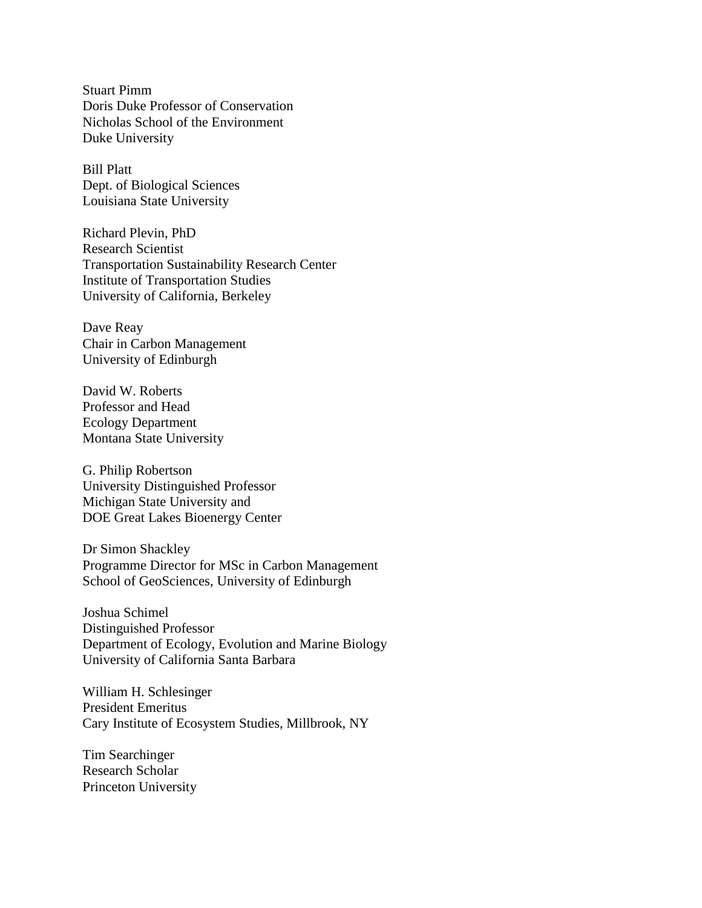Stuart Pimm Doris Duke Professor of Conservation Nicholas School of the Environment Duke University

Bill Platt Dept. of Biological Sciences Louisiana State University

Richard Plevin, PhD Research Scientist Transportation Sustainability Research Center Institute of Transportation Studies University of California, Berkeley

Dave Reay Chair in Carbon Management University of Edinburgh

David W. Roberts Professor and Head Ecology Department Montana State University

G. Philip Robertson University Distinguished Professor Michigan State University and DOE Great Lakes Bioenergy Center

Dr Simon Shackley Programme Director for MSc in Carbon Management School of GeoSciences, University of Edinburgh

Joshua Schimel Distinguished Professor Department of Ecology, Evolution and Marine Biology University of California Santa Barbara

William H. Schlesinger President Emeritus Cary Institute of Ecosystem Studies, Millbrook, NY

Tim Searchinger Research Scholar Princeton University